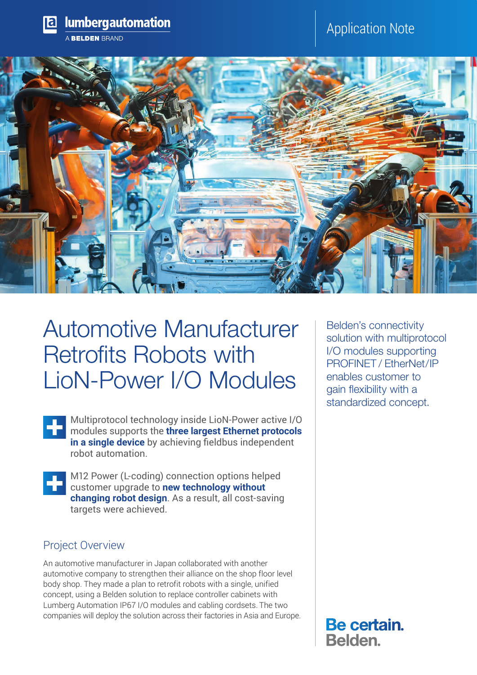

# Automotive Manufacturer Retrofits Robots with LioN-Power I/O Modules

Multiprotocol technology inside LioN-Power active I/O modules supports the **three largest Ethernet protocols in a single device** by achieving fieldbus independent robot automation.

M12 Power (L-coding) connection options helped customer upgrade to **new technology without changing robot design**. As a result, all cost-saving targets were achieved.

### Project Overview

An automotive manufacturer in Japan collaborated with another automotive company to strengthen their alliance on the shop floor level body shop. They made a plan to retrofit robots with a single, unified concept, using a Belden solution to replace controller cabinets with Lumberg Automation IP67 I/O modules and cabling cordsets. The two companies will deploy the solution across their factories in Asia and Europe. Belden's connectivity solution with multiprotocol I/O modules supporting PROFINET / EtherNet/IP enables customer to gain flexibility with a standardized concept.

Be certain. Belden.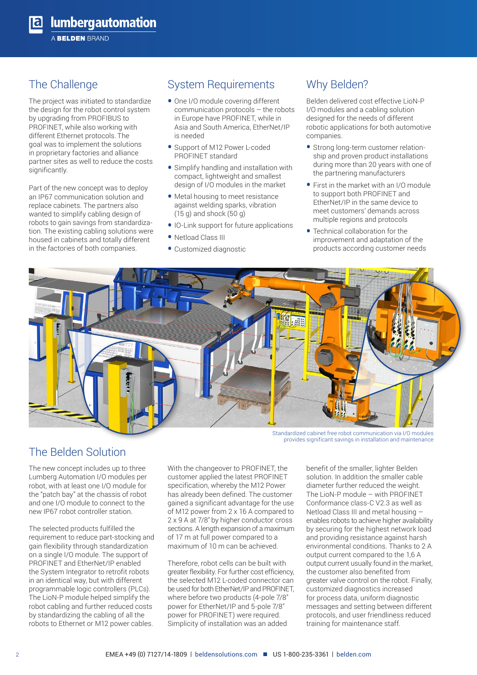### The Challenge

The project was initiated to standardize the design for the robot control system by upgrading from PROFIBUS to PROFINET, while also working with different Ethernet protocols. The goal was to implement the solutions in proprietary factories and alliance partner sites as well to reduce the costs significantly.

Part of the new concept was to deploy an IP67 communication solution and replace cabinets. The partners also wanted to simplify cabling design of robots to gain savings from standardization. The existing cabling solutions were housed in cabinets and totally different in the factories of both companies.

### System Requirements

- One I/O module covering different communication protocols – the robots in Europe have PROFINET, while in Asia and South America, EtherNet/IP is needed
- Support of M12 Power L-coded PROFINET standard
- Simplify handling and installation with compact, lightweight and smallest design of I/O modules in the market
- Metal housing to meet resistance against welding sparks, vibration (15 g) and shock (50 g)
- IO-Link support for future applications
- Netload Class III
- Customized diagnostic

### Why Belden?

Belden delivered cost effective LioN-P I/O modules and a cabling solution designed for the needs of different robotic applications for both automotive companies.

- Strong long-term customer relationship and proven product installations during more than 20 years with one of the partnering manufacturers
- First in the market with an I/O module to support both PROFINET and EtherNet/IP in the same device to meet customers' demands across multiple regions and protocols
- Technical collaboration for the improvement and adaptation of the products according customer needs



### The Belden Solution

The new concept includes up to three Lumberg Automation I/O modules per robot, with at least one I/O module for the "patch bay" at the chassis of robot and one I/O module to connect to the new IP67 robot controller station.

The selected products fulfilled the requirement to reduce part-stocking and gain flexibility through standardization on a single I/O module. The support of PROFINET and EtherNet/IP enabled the System Integrator to retrofit robots in an identical way, but with different programmable logic controllers (PLCs). The LioN-P module helped simplify the robot cabling and further reduced costs by standardizing the cabling of all the robots to Ethernet or M12 power cables.

With the changeover to PROFINET, the customer applied the latest PROFINET specification, whereby the M12 Power has already been defined. The customer gained a significant advantage for the use of M12 power from 2 x 16 A compared to 2 x 9 A at 7/8" by higher conductor cross sections. A length expansion of a maximum of 17 m at full power compared to a maximum of 10 m can be achieved.

Therefore, robot cells can be built with greater flexibility. For further cost efficiency, the selected M12 L-coded connector can be used for both EtherNet/IP and PROFINET, where before two products (4-pole 7/8" power for EtherNet/IP and 5-pole 7/8" power for PROFINET) were required. Simplicity of installation was an added

benefit of the smaller, lighter Belden solution. In addition the smaller cable diameter further reduced the weight. The LioN-P module – with PROFINET Conformance class-C V2.3 as well as Netload Class III and metal housing – enables robots to achieve higher availability by securing for the highest network load and providing resistance against harsh environmental conditions. Thanks to 2 A output current compared to the 1,6 A output current usually found in the market, the customer also benefited from greater valve control on the robot. Finally, customized diagnostics increased for process data, uniform diagnostic messages and setting between different protocols, and user friendliness reduced training for maintenance staff.

provides significant savings in installation and maintenance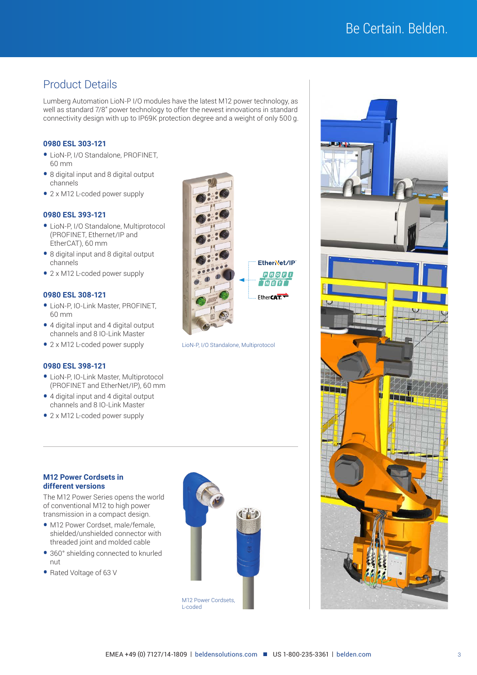## Be Certain. Belden.

### Product Details

Lumberg Automation LioN-P I/O modules have the latest M12 power technology, as well as standard 7/8" power technology to offer the newest innovations in standard connectivity design with up to IP69K protection degree and a weight of only 500 g.

#### **0980 ESL 303-121**

- LioN-P, I/O Standalone, PROFINET, 60 mm
- 8 digital input and 8 digital output channels
- 2 x M12 L-coded power supply

#### **0980 ESL 393-121**

- LioN-P, I/O Standalone, Multiprotocol (PROFINET, Ethernet/IP and EtherCAT), 60 mm
- 8 digital input and 8 digital output channels
- 2 x M12 L-coded power supply

#### **0980 ESL 308-121**

- LioN-P, IO-Link Master, PROFINET, 60 mm
- 4 digital input and 4 digital output channels and 8 IO-Link Master
- 2 x M12 L-coded power supply

#### **0980 ESL 398-121**

- LioN-P, IO-Link Master, Multiprotocol (PROFINET and EtherNet/IP), 60 mm
- 4 digital input and 4 digital output channels and 8 IO-Link Master
- 2 x M12 L-coded power supply



LioN-P, I/O Standalone, Multiprotocol

#### **M12 Power Cordsets in different versions**

The M12 Power Series opens the world of conventional M12 to high power transmission in a compact design.

- M12 Power Cordset, male/female, shielded/unshielded connector with threaded joint and molded cable
- 360° shielding connected to knurled nut
- Rated Voltage of 63 V